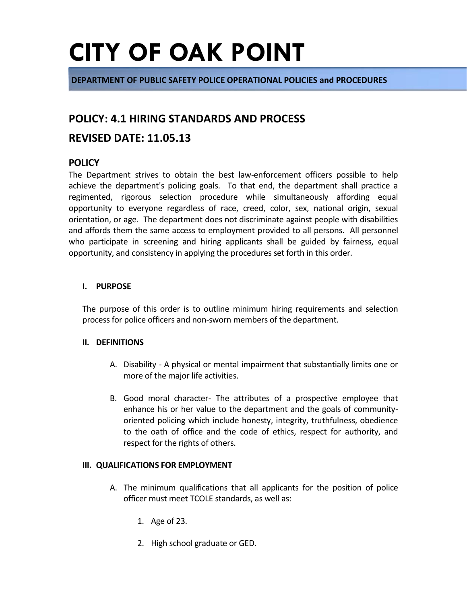**DEPARTMENT OF PUBLIC SAFETY POLICE OPERATIONAL POLICIES and PROCEDURES**

### **POLICY: 4.1 HIRING STANDARDS AND PROCESS**

### **REVISED DATE: 11.05.13**

### **POLICY**

The Department strives to obtain the best law-enforcement officers possible to help achieve the department's policing goals. To that end, the department shall practice a regimented, rigorous selection procedure while simultaneously affording equal opportunity to everyone regardless of race, creed, color, sex, national origin, sexual orientation, or age. The department does not discriminate against people with disabilities and affords them the same access to employment provided to all persons. All personnel who participate in screening and hiring applicants shall be guided by fairness, equal opportunity, and consistency in applying the procedures set forth in this order.

#### **I. PURPOSE**

The purpose of this order is to outline minimum hiring requirements and selection process for police officers and non-sworn members of the department.

#### **II. DEFINITIONS**

- A. Disability A physical or mental impairment that substantially limits one or more of the major life activities.
- B. Good moral character- The attributes of a prospective employee that enhance his or her value to the department and the goals of communityoriented policing which include honesty, integrity, truthfulness, obedience to the oath of office and the code of ethics, respect for authority, and respect for the rights of others.

#### **III. QUALIFICATIONS FOR EMPLOYMENT**

- A. The minimum qualifications that all applicants for the position of police officer must meet TCOLE standards, as well as:
	- 1. Age of 23.
	- 2. High school graduate or GED.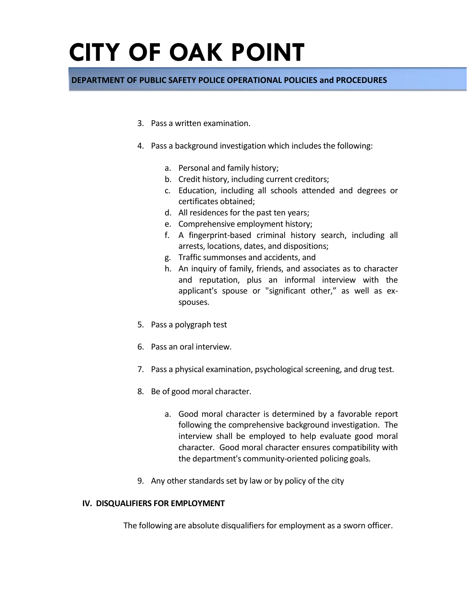### **DEPARTMENT OF PUBLIC SAFETY POLICE OPERATIONAL POLICIES and PROCEDURES**

- 3. Pass a written examination.
- 4. Pass a background investigation which includes the following:
	- a. Personal and family history;
	- b. Credit history, including current creditors;
	- c. Education, including all schools attended and degrees or certificates obtained;
	- d. All residences for the past ten years;
	- e. Comprehensive employment history;
	- f. A fingerprint-based criminal history search, including all arrests, locations, dates, and dispositions;
	- g. Traffic summonses and accidents, and
	- h. An inquiry of family, friends, and associates as to character and reputation, plus an informal interview with the applicant's spouse or "significant other," as well as exspouses.
- 5. Pass a polygraph test
- 6. Pass an oral interview.
- 7. Pass a physical examination, psychological screening, and drug test.
- 8. Be of good moral character.
	- a. Good moral character is determined by a favorable report following the comprehensive background investigation. The interview shall be employed to help evaluate good moral character. Good moral character ensures compatibility with the department's community-oriented policing goals.
- 9. Any other standards set by law or by policy of the city

#### **IV. DISQUALIFIERS FOR EMPLOYMENT**

The following are absolute disqualifiers for employment as a sworn officer.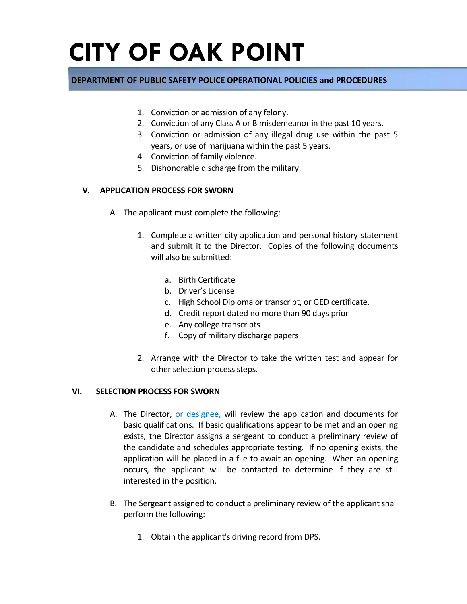### **DEPARTMENT OF PUBLIC SAFETY POLICE OPERATIONAL POLICIES and PROCEDURES**

- 1. Conviction or admission of any felony.
- 2. Conviction of any Class A or B misdemeanor in the past 10 years.
- 3. Conviction or admission of any illegal drug use within the past 5 years, or use of marijuana within the past 5 years.
- 4. Conviction of family violence.
- 5. Dishonorable discharge from the military.

#### **V. APPLICATION PROCESS FOR SWORN**

- A. The applicant must complete the following:
	- 1. Complete a written city application and personal history statement and submit it to the Director. Copies of the following documents will also be submitted:
		- a. Birth Certificate
		- b. Driver's License
		- c. High School Diploma or transcript, or GED certificate.
		- d. Credit report dated no more than 90 days prior
		- e. Any college transcripts
		- f. Copy of military discharge papers
	- 2. Arrange with the Director to take the written test and appear for other selection process steps.

#### **VI. SELECTION PROCESS FOR SWORN**

- A. The Director, or designee, will review the application and documents for basic qualifications. If basic qualifications appear to be met and an opening exists, the Director assigns a sergeant to conduct a preliminary review of the candidate and schedules appropriate testing. If no opening exists, the application will be placed in a file to await an opening. When an opening occurs, the applicant will be contacted to determine if they are still interested in the position.
- B. The Sergeant assigned to conduct a preliminary review of the applicant shall perform the following:
	- 1. Obtain the applicant's driving record from DPS.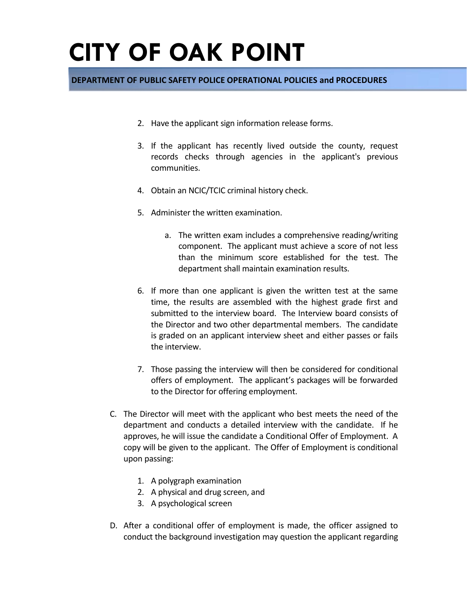### **DEPARTMENT OF PUBLIC SAFETY POLICE OPERATIONAL POLICIES and PROCEDURES**

- 2. Have the applicant sign information release forms.
- 3. If the applicant has recently lived outside the county, request records checks through agencies in the applicant's previous communities.
- 4. Obtain an NCIC/TCIC criminal history check.
- 5. Administer the written examination.
	- a. The written exam includes a comprehensive reading/writing component. The applicant must achieve a score of not less than the minimum score established for the test. The department shall maintain examination results.
- 6. If more than one applicant is given the written test at the same time, the results are assembled with the highest grade first and submitted to the interview board. The Interview board consists of the Director and two other departmental members. The candidate is graded on an applicant interview sheet and either passes or fails the interview.
- 7. Those passing the interview will then be considered for conditional offers of employment. The applicant's packages will be forwarded to the Director for offering employment.
- C. The Director will meet with the applicant who best meets the need of the department and conducts a detailed interview with the candidate. If he approves, he will issue the candidate a Conditional Offer of Employment. A copy will be given to the applicant. The Offer of Employment is conditional upon passing:
	- 1. A polygraph examination
	- 2. A physical and drug screen, and
	- 3. A psychological screen
- D. After a conditional offer of employment is made, the officer assigned to conduct the background investigation may question the applicant regarding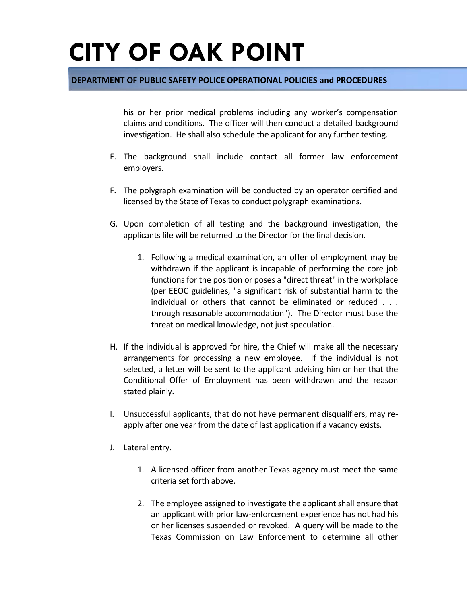#### **DEPARTMENT OF PUBLIC SAFETY POLICE OPERATIONAL POLICIES and PROCEDURES**

his or her prior medical problems including any worker's compensation claims and conditions. The officer will then conduct a detailed background investigation. He shall also schedule the applicant for any further testing.

- E. The background shall include contact all former law enforcement employers.
- F. The polygraph examination will be conducted by an operator certified and licensed by the State of Texas to conduct polygraph examinations.
- G. Upon completion of all testing and the background investigation, the applicants file will be returned to the Director for the final decision.
	- 1. Following a medical examination, an offer of employment may be withdrawn if the applicant is incapable of performing the core job functions for the position or poses a "direct threat" in the workplace (per EEOC guidelines, "a significant risk of substantial harm to the individual or others that cannot be eliminated or reduced . . . through reasonable accommodation"). The Director must base the threat on medical knowledge, not just speculation.
- H. If the individual is approved for hire, the Chief will make all the necessary arrangements for processing a new employee. If the individual is not selected, a letter will be sent to the applicant advising him or her that the Conditional Offer of Employment has been withdrawn and the reason stated plainly.
- I. Unsuccessful applicants, that do not have permanent disqualifiers, may reapply after one year from the date of last application if a vacancy exists.
- J. Lateral entry.
	- 1. A licensed officer from another Texas agency must meet the same criteria set forth above.
	- 2. The employee assigned to investigate the applicant shall ensure that an applicant with prior law-enforcement experience has not had his or her licenses suspended or revoked. A query will be made to the Texas Commission on Law Enforcement to determine all other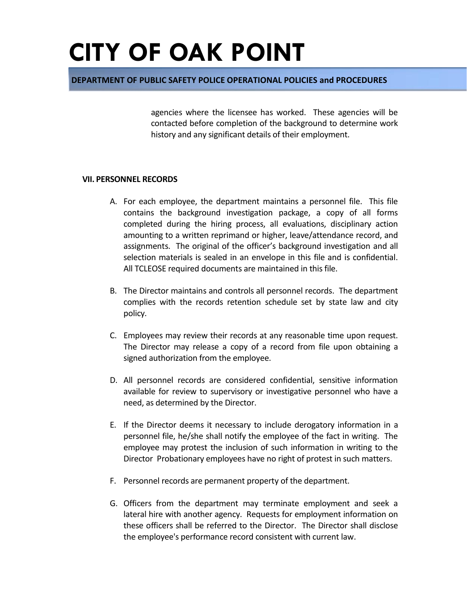#### **DEPARTMENT OF PUBLIC SAFETY POLICE OPERATIONAL POLICIES and PROCEDURES**

agencies where the licensee has worked. These agencies will be contacted before completion of the background to determine work history and any significant details of their employment.

#### **VII. PERSONNEL RECORDS**

- A. For each employee, the department maintains a personnel file. This file contains the background investigation package, a copy of all forms completed during the hiring process, all evaluations, disciplinary action amounting to a written reprimand or higher, leave/attendance record, and assignments. The original of the officer's background investigation and all selection materials is sealed in an envelope in this file and is confidential. All TCLEOSE required documents are maintained in this file.
- B. The Director maintains and controls all personnel records. The department complies with the records retention schedule set by state law and city policy.
- C. Employees may review their records at any reasonable time upon request. The Director may release a copy of a record from file upon obtaining a signed authorization from the employee.
- D. All personnel records are considered confidential, sensitive information available for review to supervisory or investigative personnel who have a need, as determined by the Director.
- E. If the Director deems it necessary to include derogatory information in a personnel file, he/she shall notify the employee of the fact in writing. The employee may protest the inclusion of such information in writing to the Director Probationary employees have no right of protest in such matters.
- F. Personnel records are permanent property of the department.
- G. Officers from the department may terminate employment and seek a lateral hire with another agency. Requests for employment information on these officers shall be referred to the Director. The Director shall disclose the employee's performance record consistent with current law.